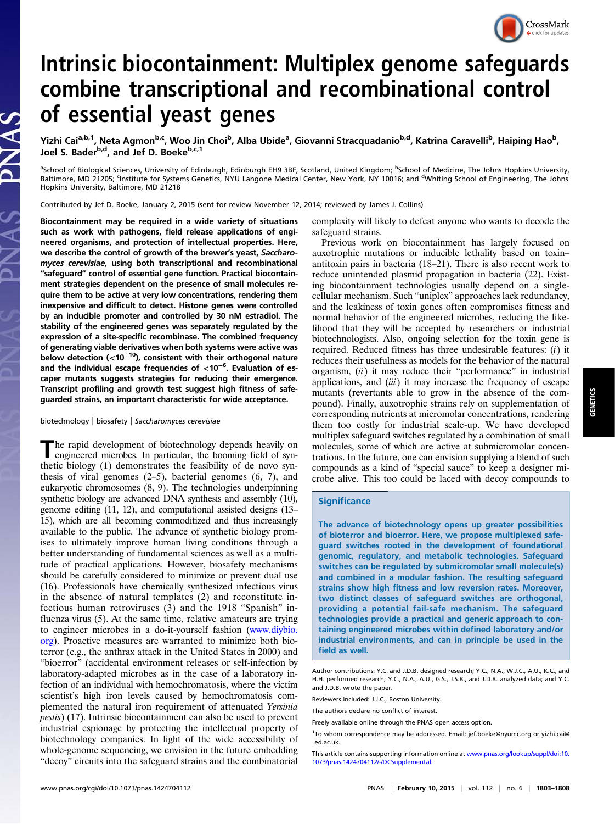# Intrinsic biocontainment: Multiplex genome safeguards combine transcriptional and recombinational control of essential yeast genes

Yizhi Cai<sup>a,b,1</sup>, Neta Agmon<sup>b,c</sup>, Woo Jin Choi<sup>b</sup>, Alba Ubide<sup>a</sup>, Giovanni Stracquadanio<sup>b,d</sup>, Katrina Caravelli<sup>b</sup>, Haiping Hao<sup>b</sup>, Joel S. Bader<sup>b,d</sup>, and Jef D. Boeke<sup>b,c,1</sup>

<sup>a</sup>School of Biological Sciences, University of Edinburgh, Edinburgh EH9 3BF, Scotland, United Kingdom; <sup>b</sup>School of Medicine, The Johns Hopkins University, Baltimore, MD 21205; <sup>c</sup>Institute for Systems Genetics, NYU Langone Medical Center, New York, NY 10016; and <sup>d</sup>Whiting School of Engineering, The Johns Hopkins University, Baltimore, MD 21218

Contributed by Jef D. Boeke, January 2, 2015 (sent for review November 12, 2014; reviewed by James J. Collins)

Biocontainment may be required in a wide variety of situations such as work with pathogens, field release applications of engineered organisms, and protection of intellectual properties. Here, we describe the control of growth of the brewer's yeast, Saccharomyces cerevisiae, using both transcriptional and recombinational "safeguard" control of essential gene function. Practical biocontainment strategies dependent on the presence of small molecules require them to be active at very low concentrations, rendering them inexpensive and difficult to detect. Histone genes were controlled by an inducible promoter and controlled by 30 nM estradiol. The stability of the engineered genes was separately regulated by the expression of a site-specific recombinase. The combined frequency of generating viable derivatives when both systems were active was below detection (< $10^{-10}$ ), consistent with their orthogonal nature and the individual escape frequencies of <10<sup>-6</sup>. Evaluation of escaper mutants suggests strategies for reducing their emergence. Transcript profiling and growth test suggest high fitness of safeguarded strains, an important characteristic for wide acceptance.

biotechnology | biosafety | Saccharomyces cerevisiae

The rapid development of biotechnology depends heavily on engineered microbes. In particular, the booming field of synthetic biology (1) demonstrates the feasibility of de novo synthesis of viral genomes  $(2-5)$ , bacterial genomes  $(6, 7)$ , and eukaryotic chromosomes (8, 9). The technologies underpinning synthetic biology are advanced DNA synthesis and assembly (10), genome editing (11, 12), and computational assisted designs (13– 15), which are all becoming commoditized and thus increasingly available to the public. The advance of synthetic biology promises to ultimately improve human living conditions through a better understanding of fundamental sciences as well as a multitude of practical applications. However, biosafety mechanisms should be carefully considered to minimize or prevent dual use (16). Professionals have chemically synthesized infectious virus in the absence of natural templates (2) and reconstitute infectious human retroviruses (3) and the 1918 "Spanish" influenza virus (5). At the same time, relative amateurs are trying to engineer microbes in a do-it-yourself fashion ([www.diybio.](http://www.diybio.org) [org\)](http://www.diybio.org). Proactive measures are warranted to minimize both bioterror (e.g., the anthrax attack in the United States in 2000) and "bioerror" (accidental environment releases or self-infection by laboratory-adapted microbes as in the case of a laboratory infection of an individual with hemochromatosis, where the victim scientist's high iron levels caused by hemochromatosis complemented the natural iron requirement of attenuated Yersinia pestis) (17). Intrinsic biocontainment can also be used to prevent industrial espionage by protecting the intellectual property of biotechnology companies. In light of the wide accessibility of whole-genome sequencing, we envision in the future embedding "decoy" circuits into the safeguard strains and the combinatorial complexity will likely to defeat anyone who wants to decode the safeguard strains.

Previous work on biocontainment has largely focused on auxotrophic mutations or inducible lethality based on toxin– antitoxin pairs in bacteria (18–21). There is also recent work to reduce unintended plasmid propagation in bacteria (22). Existing biocontainment technologies usually depend on a singlecellular mechanism. Such "uniplex" approaches lack redundancy, and the leakiness of toxin genes often compromises fitness and normal behavior of the engineered microbes, reducing the likelihood that they will be accepted by researchers or industrial biotechnologists. Also, ongoing selection for the toxin gene is required. Reduced fitness has three undesirable features:  $(i)$  it reduces their usefulness as models for the behavior of the natural organism,  $(ii)$  it may reduce their "performance" in industrial applications, and  $(iii)$  it may increase the frequency of escape mutants (revertants able to grow in the absence of the compound). Finally, auxotrophic strains rely on supplementation of corresponding nutrients at micromolar concentrations, rendering them too costly for industrial scale-up. We have developed multiplex safeguard switches regulated by a combination of small molecules, some of which are active at submicromolar concentrations. In the future, one can envision supplying a blend of such compounds as a kind of "special sauce" to keep a designer microbe alive. This too could be laced with decoy compounds to

### **Significance**

The advance of biotechnology opens up greater possibilities of bioterror and bioerror. Here, we propose multiplexed safeguard switches rooted in the development of foundational genomic, regulatory, and metabolic technologies. Safeguard switches can be regulated by submicromolar small molecule(s) and combined in a modular fashion. The resulting safeguard strains show high fitness and low reversion rates. Moreover, two distinct classes of safeguard switches are orthogonal, providing a potential fail-safe mechanism. The safeguard technologies provide a practical and generic approach to containing engineered microbes within defined laboratory and/or industrial environments, and can in principle be used in the field as well.

CrossMark

Author contributions: Y.C. and J.D.B. designed research; Y.C., N.A., W.J.C., A.U., K.C., and H.H. performed research; Y.C., N.A., A.U., G.S., J.S.B., and J.D.B. analyzed data; and Y.C. and J.D.B. wrote the paper.

Reviewers included: J.J.C., Boston University.

The authors declare no conflict of interest.

Freely available online through the PNAS open access option.

<sup>1</sup> To whom correspondence may be addressed. Email: [jef.boeke@nyumc.org](mailto:jef.boeke@nyumc.org) or [yizhi.cai@](mailto:yizhi.cai@ed.ac.uk) [ed.ac.uk](mailto:yizhi.cai@ed.ac.uk).

This article contains supporting information online at [www.pnas.org/lookup/suppl/doi:10.](http://www.pnas.org/lookup/suppl/doi:10.1073/pnas.1424704112/-/DCSupplemental) [1073/pnas.1424704112/-/DCSupplemental](http://www.pnas.org/lookup/suppl/doi:10.1073/pnas.1424704112/-/DCSupplemental).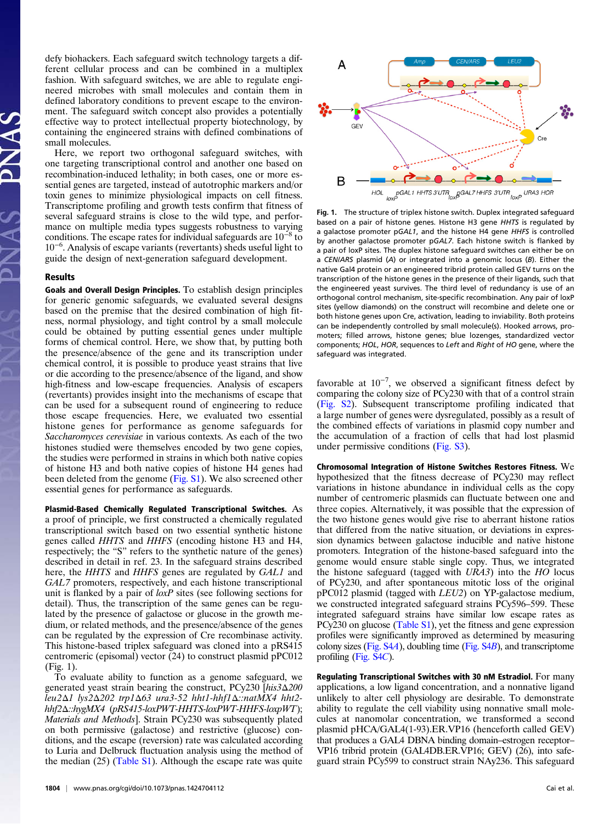defy biohackers. Each safeguard switch technology targets a different cellular process and can be combined in a multiplex fashion. With safeguard switches, we are able to regulate engineered microbes with small molecules and contain them in defined laboratory conditions to prevent escape to the environment. The safeguard switch concept also provides a potentially effective way to protect intellectual property biotechnology, by containing the engineered strains with defined combinations of small molecules.

Here, we report two orthogonal safeguard switches, with one targeting transcriptional control and another one based on recombination-induced lethality; in both cases, one or more essential genes are targeted, instead of autotrophic markers and/or toxin genes to minimize physiological impacts on cell fitness. Transcriptome profiling and growth tests confirm that fitness of several safeguard strains is close to the wild type, and performance on multiple media types suggests robustness to varying conditions. The escape rates for individual safeguards are  $10^{-8}$  to 10−<sup>6</sup> . Analysis of escape variants (revertants) sheds useful light to guide the design of next-generation safeguard development.

#### Results

Goals and Overall Design Principles. To establish design principles for generic genomic safeguards, we evaluated several designs based on the premise that the desired combination of high fitness, normal physiology, and tight control by a small molecule could be obtained by putting essential genes under multiple forms of chemical control. Here, we show that, by putting both the presence/absence of the gene and its transcription under chemical control, it is possible to produce yeast strains that live or die according to the presence/absence of the ligand, and show high-fitness and low-escape frequencies. Analysis of escapers (revertants) provides insight into the mechanisms of escape that can be used for a subsequent round of engineering to reduce those escape frequencies. Here, we evaluated two essential histone genes for performance as genome safeguards for Saccharomyces cerevisiae in various contexts. As each of the two histones studied were themselves encoded by two gene copies, the studies were performed in strains in which both native copies of histone H3 and both native copies of histone H4 genes had been deleted from the genome ([Fig. S1\)](http://www.pnas.org/lookup/suppl/doi:10.1073/pnas.1424704112/-/DCSupplemental/pnas.201424704SI.pdf?targetid=nameddest=SF1). We also screened other essential genes for performance as safeguards.

Plasmid-Based Chemically Regulated Transcriptional Switches. As a proof of principle, we first constructed a chemically regulated transcriptional switch based on two essential synthetic histone genes called HHTS and HHFS (encoding histone H3 and H4, respectively; the "S" refers to the synthetic nature of the genes) described in detail in ref. 23. In the safeguard strains described here, the HHTS and HHFS genes are regulated by GAL1 and GAL7 promoters, respectively, and each histone transcriptional unit is flanked by a pair of  $\log P$  sites (see following sections for detail). Thus, the transcription of the same genes can be regulated by the presence of galactose or glucose in the growth medium, or related methods, and the presence/absence of the genes can be regulated by the expression of Cre recombinase activity. This histone-based triplex safeguard was cloned into a pRS415 centromeric (episomal) vector (24) to construct plasmid pPC012 (Fig. 1).

To evaluate ability to function as a genome safeguard, we generated yeast strain bearing the construct, PCy230 [his3Δ200 leu2Δ1 lys2Δ202 trp1Δ63 ura3-52 hht1-hhf1Δ::natMX4 hht2 hhf2Δ::hygMX4 (pRS415-loxPWT-HHTS-loxPWT-HHFS-loxpWT); Materials and Methods]. Strain PCy230 was subsequently plated on both permissive (galactose) and restrictive (glucose) conditions, and the escape (reversion) rate was calculated according to Luria and Delbruck fluctuation analysis using the method of the median  $(25)$  [\(Table S1](http://www.pnas.org/lookup/suppl/doi:10.1073/pnas.1424704112/-/DCSupplemental/pnas.201424704SI.pdf?targetid=nameddest=ST1)). Although the escape rate was quite



Fig. 1. The structure of triplex histone switch. Duplex integrated safeguard based on a pair of histone genes. Histone H3 gene HHTS is regulated by a galactose promoter pGAL1, and the histone H4 gene HHFS is controlled by another galactose promoter pGAL7. Each histone switch is flanked by a pair of loxP sites. The duplex histone safeguard switches can either be on a CEN/ARS plasmid (A) or integrated into a genomic locus (B). Either the native Gal4 protein or an engineered tribrid protein called GEV turns on the transcription of the histone genes in the presence of their ligands, such that the engineered yeast survives. The third level of redundancy is use of an orthogonal control mechanism, site-specific recombination. Any pair of loxP sites (yellow diamonds) on the construct will recombine and delete one or both histone genes upon Cre, activation, leading to inviability. Both proteins can be independently controlled by small molecule(s). Hooked arrows, promoters; filled arrows, histone genes; blue lozenges, standardized vector components; HOL, HOR, sequences to Left and Right of HO gene, where the safeguard was integrated.

favorable at  $10^{-7}$ , we observed a significant fitness defect by comparing the colony size of PCy230 with that of a control strain ([Fig. S2](http://www.pnas.org/lookup/suppl/doi:10.1073/pnas.1424704112/-/DCSupplemental/pnas.201424704SI.pdf?targetid=nameddest=SF2)). Subsequent transcriptome profiling indicated that a large number of genes were dysregulated, possibly as a result of the combined effects of variations in plasmid copy number and the accumulation of a fraction of cells that had lost plasmid under permissive conditions [\(Fig. S3\)](http://www.pnas.org/lookup/suppl/doi:10.1073/pnas.1424704112/-/DCSupplemental/pnas.201424704SI.pdf?targetid=nameddest=SF3).

Chromosomal Integration of Histone Switches Restores Fitness. We hypothesized that the fitness decrease of PCy230 may reflect variations in histone abundance in individual cells as the copy number of centromeric plasmids can fluctuate between one and three copies. Alternatively, it was possible that the expression of the two histone genes would give rise to aberrant histone ratios that differed from the native situation, or deviations in expression dynamics between galactose inducible and native histone promoters. Integration of the histone-based safeguard into the genome would ensure stable single copy. Thus, we integrated the histone safeguard (tagged with URA3) into the HO locus of PCy230, and after spontaneous mitotic loss of the original pPC012 plasmid (tagged with LEU2) on YP-galactose medium, we constructed integrated safeguard strains PCy596–599. These integrated safeguard strains have similar low escape rates as PCy230 on glucose [\(Table S1](http://www.pnas.org/lookup/suppl/doi:10.1073/pnas.1424704112/-/DCSupplemental/pnas.201424704SI.pdf?targetid=nameddest=ST1)), yet the fitness and gene expression profiles were significantly improved as determined by measuring colony sizes [\(Fig. S4](http://www.pnas.org/lookup/suppl/doi:10.1073/pnas.1424704112/-/DCSupplemental/pnas.201424704SI.pdf?targetid=nameddest=SF4)A), doubling time [\(Fig. S4](http://www.pnas.org/lookup/suppl/doi:10.1073/pnas.1424704112/-/DCSupplemental/pnas.201424704SI.pdf?targetid=nameddest=SF4)B), and transcriptome profiling [\(Fig. S4](http://www.pnas.org/lookup/suppl/doi:10.1073/pnas.1424704112/-/DCSupplemental/pnas.201424704SI.pdf?targetid=nameddest=SF4)C).

Regulating Transcriptional Switches with 30 nM Estradiol. For many applications, a low ligand concentration, and a nonnative ligand unlikely to alter cell physiology are desirable. To demonstrate ability to regulate the cell viability using nonnative small molecules at nanomolar concentration, we transformed a second plasmid pHCA/GAL4(1-93).ER.VP16 (henceforth called GEV) that produces a GAL4 DBNA binding domain–estrogen receptor– VP16 tribrid protein (GAL4DB.ER.VP16; GEV) (26), into safeguard strain PCy599 to construct strain NAy236. This safeguard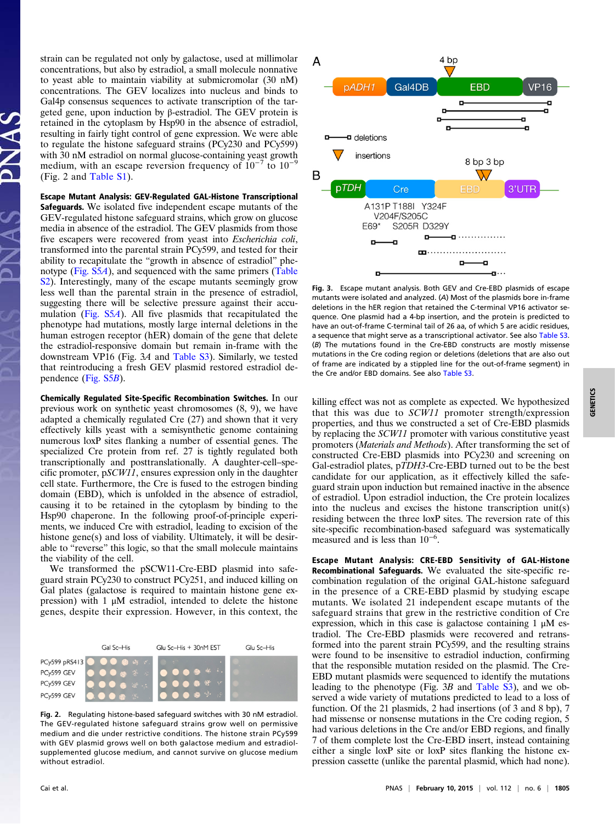strain can be regulated not only by galactose, used at millimolar concentrations, but also by estradiol, a small molecule nonnative to yeast able to maintain viability at submicromolar (30 nM) concentrations. The GEV localizes into nucleus and binds to Gal4p consensus sequences to activate transcription of the targeted gene, upon induction by β-estradiol. The GEV protein is retained in the cytoplasm by Hsp90 in the absence of estradiol, resulting in fairly tight control of gene expression. We were able to regulate the histone safeguard strains (PCy230 and PCy599) with 30 nM estradiol on normal glucose-containing yeast growth medium, with an escape reversion frequency of  $10^{-7}$  to  $10^{-9}$ (Fig. 2 and [Table S1\)](http://www.pnas.org/lookup/suppl/doi:10.1073/pnas.1424704112/-/DCSupplemental/pnas.201424704SI.pdf?targetid=nameddest=ST1).

Escape Mutant Analysis: GEV-Regulated GAL-Histone Transcriptional Safeguards. We isolated five independent escape mutants of the GEV-regulated histone safeguard strains, which grow on glucose media in absence of the estradiol. The GEV plasmids from those five escapers were recovered from yeast into Escherichia coli, transformed into the parental strain PCy599, and tested for their ability to recapitulate the "growth in absence of estradiol" phenotype [\(Fig. S5](http://www.pnas.org/lookup/suppl/doi:10.1073/pnas.1424704112/-/DCSupplemental/pnas.201424704SI.pdf?targetid=nameddest=SF5)A), and sequenced with the same primers ([Table](http://www.pnas.org/lookup/suppl/doi:10.1073/pnas.1424704112/-/DCSupplemental/pnas.201424704SI.pdf?targetid=nameddest=ST2) [S2\)](http://www.pnas.org/lookup/suppl/doi:10.1073/pnas.1424704112/-/DCSupplemental/pnas.201424704SI.pdf?targetid=nameddest=ST2). Interestingly, many of the escape mutants seemingly grow less well than the parental strain in the presence of estradiol, suggesting there will be selective pressure against their accumulation [\(Fig. S5](http://www.pnas.org/lookup/suppl/doi:10.1073/pnas.1424704112/-/DCSupplemental/pnas.201424704SI.pdf?targetid=nameddest=SF5)A). All five plasmids that recapitulated the phenotype had mutations, mostly large internal deletions in the human estrogen receptor (hER) domain of the gene that delete the estradiol-responsive domain but remain in-frame with the downstream VP16 (Fig. 3A and [Table S3](http://www.pnas.org/lookup/suppl/doi:10.1073/pnas.1424704112/-/DCSupplemental/pnas.201424704SI.pdf?targetid=nameddest=ST3)). Similarly, we tested that reintroducing a fresh GEV plasmid restored estradiol dependence [\(Fig. S5](http://www.pnas.org/lookup/suppl/doi:10.1073/pnas.1424704112/-/DCSupplemental/pnas.201424704SI.pdf?targetid=nameddest=SF5)B).

Chemically Regulated Site-Specific Recombination Switches. In our previous work on synthetic yeast chromosomes (8, 9), we have adapted a chemically regulated Cre (27) and shown that it very effectively kills yeast with a semisynthetic genome containing numerous loxP sites flanking a number of essential genes. The specialized Cre protein from ref. 27 is tightly regulated both transcriptionally and posttranslationally. A daughter-cell–specific promoter, pSCW11, ensures expression only in the daughter cell state. Furthermore, the Cre is fused to the estrogen binding domain (EBD), which is unfolded in the absence of estradiol, causing it to be retained in the cytoplasm by binding to the Hsp90 chaperone. In the following proof-of-principle experiments, we induced Cre with estradiol, leading to excision of the histone gene(s) and loss of viability. Ultimately, it will be desirable to "reverse" this logic, so that the small molecule maintains the viability of the cell.

We transformed the pSCW11-Cre-EBD plasmid into safeguard strain PCy230 to construct PCy251, and induced killing on Gal plates (galactose is required to maintain histone gene expression) with 1 μM estradiol, intended to delete the histone genes, despite their expression. However, in this context, the



Fig. 2. Regulating histone-based safeguard switches with 30 nM estradiol. The GEV-regulated histone safeguard strains grow well on permissive medium and die under restrictive conditions. The histone strain PCy599 with GEV plasmid grows well on both galactose medium and estradiolsupplemented glucose medium, and cannot survive on glucose medium without estradiol.



Fig. 3. Escape mutant analysis. Both GEV and Cre-EBD plasmids of escape mutants were isolated and analyzed. (A) Most of the plasmids bore in-frame deletions in the hER region that retained the C-terminal VP16 activator sequence. One plasmid had a 4-bp insertion, and the protein is predicted to have an out-of-frame C-terminal tail of 26 aa, of which 5 are acidic residues, a sequence that might serve as a transcriptional activator. See also [Table S3](http://www.pnas.org/lookup/suppl/doi:10.1073/pnas.1424704112/-/DCSupplemental/pnas.201424704SI.pdf?targetid=nameddest=ST3). (B) The mutations found in the Cre-EBD constructs are mostly missense mutations in the Cre coding region or deletions (deletions that are also out of frame are indicated by a stippled line for the out-of-frame segment) in the Cre and/or EBD domains. See also [Table S3](http://www.pnas.org/lookup/suppl/doi:10.1073/pnas.1424704112/-/DCSupplemental/pnas.201424704SI.pdf?targetid=nameddest=ST3).

killing effect was not as complete as expected. We hypothesized that this was due to SCW11 promoter strength/expression properties, and thus we constructed a set of Cre-EBD plasmids by replacing the SCW11 promoter with various constitutive yeast promoters (Materials and Methods). After transforming the set of constructed Cre-EBD plasmids into PCy230 and screening on Gal-estradiol plates, pTDH3-Cre-EBD turned out to be the best candidate for our application, as it effectively killed the safeguard strain upon induction but remained inactive in the absence of estradiol. Upon estradiol induction, the Cre protein localizes into the nucleus and excises the histone transcription unit(s) residing between the three loxP sites. The reversion rate of this site-specific recombination-based safeguard was systematically measured and is less than 10<sup>-6</sup>.

Escape Mutant Analysis: CRE-EBD Sensitivity of GAL-Histone Recombinational Safeguards. We evaluated the site-specific recombination regulation of the original GAL-histone safeguard in the presence of a CRE-EBD plasmid by studying escape mutants. We isolated 21 independent escape mutants of the safeguard strains that grew in the restrictive condition of Cre expression, which in this case is galactose containing  $1 \mu M$  estradiol. The Cre-EBD plasmids were recovered and retransformed into the parent strain PCy599, and the resulting strains were found to be insensitive to estradiol induction, confirming that the responsible mutation resided on the plasmid. The Cre-EBD mutant plasmids were sequenced to identify the mutations leading to the phenotype (Fig. 3B and [Table S3](http://www.pnas.org/lookup/suppl/doi:10.1073/pnas.1424704112/-/DCSupplemental/pnas.201424704SI.pdf?targetid=nameddest=ST3)), and we observed a wide variety of mutations predicted to lead to a loss of function. Of the 21 plasmids, 2 had insertions (of 3 and 8 bp), 7 had missense or nonsense mutations in the Cre coding region, 5 had various deletions in the Cre and/or EBD regions, and finally 7 of them complete lost the Cre-EBD insert, instead containing either a single loxP site or loxP sites flanking the histone expression cassette (unlike the parental plasmid, which had none).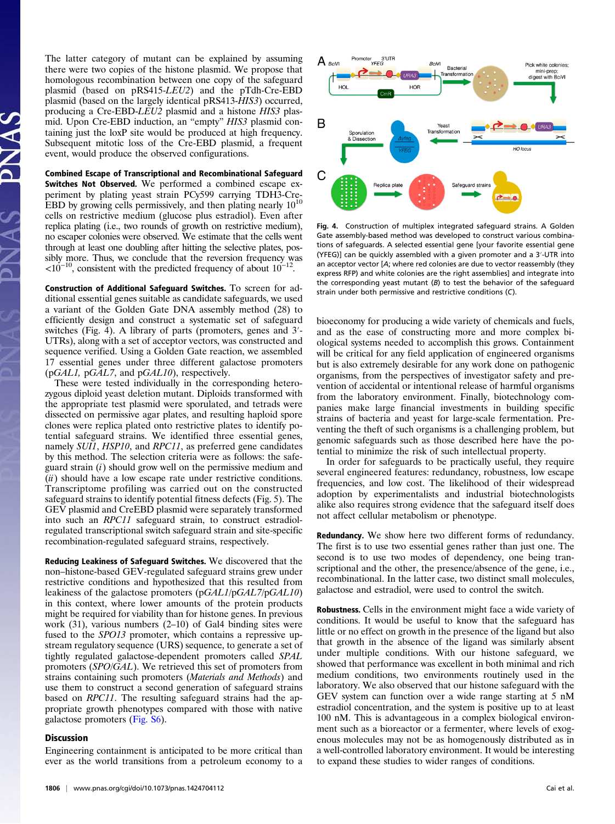The latter category of mutant can be explained by assuming there were two copies of the histone plasmid. We propose that homologous recombination between one copy of the safeguard plasmid (based on pRS415-LEU2) and the pTdh-Cre-EBD plasmid (based on the largely identical pRS413-HIS3) occurred, producing a Cre-EBD-LEU2 plasmid and a histone HIS3 plasmid. Upon Cre-EBD induction, an "empty" HIS3 plasmid containing just the loxP site would be produced at high frequency. Subsequent mitotic loss of the Cre-EBD plasmid, a frequent event, would produce the observed configurations.

Combined Escape of Transcriptional and Recombinational Safeguard Switches Not Observed. We performed a combined escape experiment by plating yeast strain PCy599 carrying TDH3-Cre-EBD by growing cells permissively, and then plating nearly  $10^{10}$ cells on restrictive medium (glucose plus estradiol). Even after replica plating (i.e., two rounds of growth on restrictive medium), no escaper colonies were observed. We estimate that the cells went through at least one doubling after hitting the selective plates, possibly more. Thus, we conclude that the reversion frequency was  $<10^{-10}$ , consistent with the predicted frequency of about 10<sup>-12</sup>.

Construction of Additional Safeguard Switches. To screen for additional essential genes suitable as candidate safeguards, we used a variant of the Golden Gate DNA assembly method (28) to efficiently design and construct a systematic set of safeguard switches (Fig. 4). A library of parts (promoters, genes and 3′- UTRs), along with a set of acceptor vectors, was constructed and sequence verified. Using a Golden Gate reaction, we assembled 17 essential genes under three different galactose promoters  $(pGAL1, pGAL7, and pGAL10)$ , respectively.

These were tested individually in the corresponding heterozygous diploid yeast deletion mutant. Diploids transformed with the appropriate test plasmid were sporulated, and tetrads were dissected on permissive agar plates, and resulting haploid spore clones were replica plated onto restrictive plates to identify potential safeguard strains. We identified three essential genes, namely *SUI1*, *HSP10*, and *RPC11*, as preferred gene candidates by this method. The selection criteria were as follows: the safeguard strain  $(i)$  should grow well on the permissive medium and (ii) should have a low escape rate under restrictive conditions. Transcriptome profiling was carried out on the constructed safeguard strains to identify potential fitness defects (Fig. 5). The GEV plasmid and CreEBD plasmid were separately transformed into such an RPC11 safeguard strain, to construct estradiolregulated transcriptional switch safeguard strain and site-specific recombination-regulated safeguard strains, respectively.

Reducing Leakiness of Safeguard Switches. We discovered that the non–histone-based GEV-regulated safeguard strains grew under restrictive conditions and hypothesized that this resulted from leakiness of the galactose promoters (pGAL1/pGAL7/pGAL10) in this context, where lower amounts of the protein products might be required for viability than for histone genes. In previous work (31), various numbers (2–10) of Gal4 binding sites were fused to the *SPO13* promoter, which contains a repressive upstream regulatory sequence (URS) sequence, to generate a set of tightly regulated galactose-dependent promoters called SPAL promoters (SPO/GAL). We retrieved this set of promoters from strains containing such promoters (Materials and Methods) and use them to construct a second generation of safeguard strains based on RPC11. The resulting safeguard strains had the appropriate growth phenotypes compared with those with native galactose promoters [\(Fig. S6](http://www.pnas.org/lookup/suppl/doi:10.1073/pnas.1424704112/-/DCSupplemental/pnas.201424704SI.pdf?targetid=nameddest=SF6)).

## **Discussion**

Engineering containment is anticipated to be more critical than ever as the world transitions from a petroleum economy to a



Fig. 4. Construction of multiplex integrated safeguard strains. A Golden Gate assembly-based method was developed to construct various combinations of safeguards. A selected essential gene [your favorite essential gene (YFEG)] can be quickly assembled with a given promoter and a 3′-UTR into an acceptor vector [A; where red colonies are due to vector reassembly (they express RFP) and white colonies are the right assemblies] and integrate into the corresponding yeast mutant (B) to test the behavior of the safeguard strain under both permissive and restrictive conditions (C).

bioeconomy for producing a wide variety of chemicals and fuels, and as the ease of constructing more and more complex biological systems needed to accomplish this grows. Containment will be critical for any field application of engineered organisms but is also extremely desirable for any work done on pathogenic organisms, from the perspectives of investigator safety and prevention of accidental or intentional release of harmful organisms from the laboratory environment. Finally, biotechnology companies make large financial investments in building specific strains of bacteria and yeast for large-scale fermentation. Preventing the theft of such organisms is a challenging problem, but genomic safeguards such as those described here have the potential to minimize the risk of such intellectual property.

In order for safeguards to be practically useful, they require several engineered features: redundancy, robustness, low escape frequencies, and low cost. The likelihood of their widespread adoption by experimentalists and industrial biotechnologists alike also requires strong evidence that the safeguard itself does not affect cellular metabolism or phenotype.

Redundancy. We show here two different forms of redundancy. The first is to use two essential genes rather than just one. The second is to use two modes of dependency, one being transcriptional and the other, the presence/absence of the gene, i.e., recombinational. In the latter case, two distinct small molecules, galactose and estradiol, were used to control the switch.

Robustness. Cells in the environment might face a wide variety of conditions. It would be useful to know that the safeguard has little or no effect on growth in the presence of the ligand but also that growth in the absence of the ligand was similarly absent under multiple conditions. With our histone safeguard, we showed that performance was excellent in both minimal and rich medium conditions, two environments routinely used in the laboratory. We also observed that our histone safeguard with the GEV system can function over a wide range starting at 5 nM estradiol concentration, and the system is positive up to at least 100 nM. This is advantageous in a complex biological environment such as a bioreactor or a fermenter, where levels of exogenous molecules may not be as homogenously distributed as in a well-controlled laboratory environment. It would be interesting to expand these studies to wider ranges of conditions.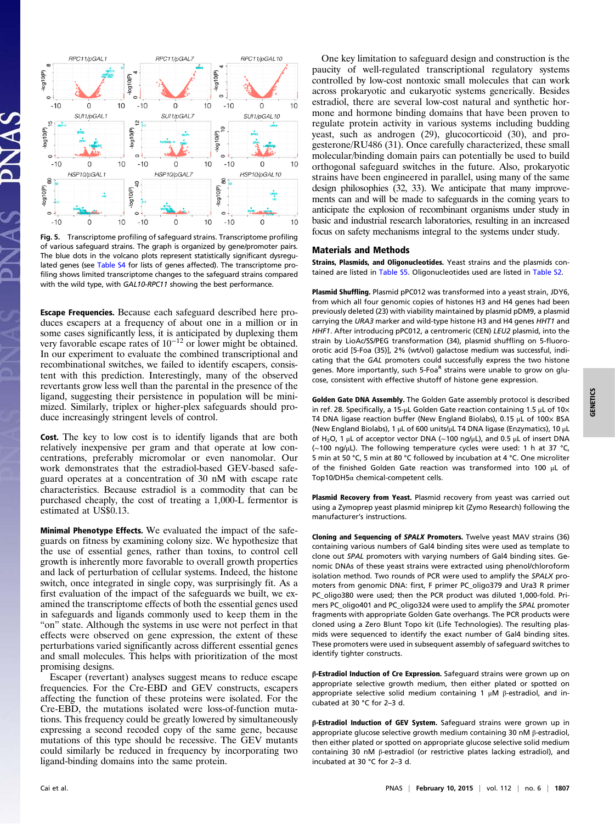

Fig. 5. Transcriptome profiling of safeguard strains. Transcriptome profiling of various safeguard strains. The graph is organized by gene/promoter pairs. The blue dots in the volcano plots represent statistically significant dysregulated genes (see [Table S4](http://www.pnas.org/lookup/suppl/doi:10.1073/pnas.1424704112/-/DCSupplemental/pnas.201424704SI.pdf?targetid=nameddest=ST4) for lists of genes affected). The transcriptome profiling shows limited transcriptome changes to the safeguard strains compared with the wild type, with GAL10-RPC11 showing the best performance.

Escape Frequencies. Because each safeguard described here produces escapers at a frequency of about one in a million or in some cases significantly less, it is anticipated by duplexing them<br>very favorable escape rates of  $10^{-12}$  or lower might be obtained. In our experiment to evaluate the combined transcriptional and recombinational switches, we failed to identify escapers, consistent with this prediction. Interestingly, many of the observed revertants grow less well than the parental in the presence of the ligand, suggesting their persistence in population will be minimized. Similarly, triplex or higher-plex safeguards should produce increasingly stringent levels of control.

Cost. The key to low cost is to identify ligands that are both relatively inexpensive per gram and that operate at low concentrations, preferably micromolar or even nanomolar. Our work demonstrates that the estradiol-based GEV-based safeguard operates at a concentration of 30 nM with escape rate characteristics. Because estradiol is a commodity that can be purchased cheaply, the cost of treating a 1,000-L fermentor is estimated at US\$0.13.

Minimal Phenotype Effects. We evaluated the impact of the safeguards on fitness by examining colony size. We hypothesize that the use of essential genes, rather than toxins, to control cell growth is inherently more favorable to overall growth properties and lack of perturbation of cellular systems. Indeed, the histone switch, once integrated in single copy, was surprisingly fit. As a first evaluation of the impact of the safeguards we built, we examined the transcriptome effects of both the essential genes used in safeguards and ligands commonly used to keep them in the "on" state. Although the systems in use were not perfect in that effects were observed on gene expression, the extent of these perturbations varied significantly across different essential genes and small molecules. This helps with prioritization of the most promising designs.

Escaper (revertant) analyses suggest means to reduce escape frequencies. For the Cre-EBD and GEV constructs, escapers affecting the function of these proteins were isolated. For the Cre-EBD, the mutations isolated were loss-of-function mutations. This frequency could be greatly lowered by simultaneously expressing a second recoded copy of the same gene, because mutations of this type should be recessive. The GEV mutants could similarly be reduced in frequency by incorporating two ligand-binding domains into the same protein.

One key limitation to safeguard design and construction is the paucity of well-regulated transcriptional regulatory systems controlled by low-cost nontoxic small molecules that can work across prokaryotic and eukaryotic systems generically. Besides estradiol, there are several low-cost natural and synthetic hormone and hormone binding domains that have been proven to regulate protein activity in various systems including budding yeast, such as androgen (29), glucocorticoid (30), and progesterone/RU486 (31). Once carefully characterized, these small molecular/binding domain pairs can potentially be used to build orthogonal safeguard switches in the future. Also, prokaryotic strains have been engineered in parallel, using many of the same design philosophies (32, 33). We anticipate that many improvements can and will be made to safeguards in the coming years to anticipate the explosion of recombinant organisms under study in basic and industrial research laboratories, resulting in an increased focus on safety mechanisms integral to the systems under study.

#### Materials and Methods

Strains, Plasmids, and Oligonucleotides. Yeast strains and the plasmids contained are listed in [Table S5](http://www.pnas.org/lookup/suppl/doi:10.1073/pnas.1424704112/-/DCSupplemental/pnas.201424704SI.pdf?targetid=nameddest=ST5). Oligonucleotides used are listed in [Table S2](http://www.pnas.org/lookup/suppl/doi:10.1073/pnas.1424704112/-/DCSupplemental/pnas.201424704SI.pdf?targetid=nameddest=ST2).

Plasmid Shuffling. Plasmid pPC012 was transformed into a yeast strain, JDY6, from which all four genomic copies of histones H3 and H4 genes had been previously deleted (23) with viability maintained by plasmid pDM9, a plasmid carrying the URA3 marker and wild-type histone H3 and H4 genes HHT1 and HHF1. After introducing pPC012, a centromeric (CEN) LEU2 plasmid, into the strain by LioAc/SS/PEG transformation (34), plasmid shuffling on 5-fluoroorotic acid [5-Foa (35)], 2% (wt/vol) galactose medium was successful, indicating that the GAL promoters could successfully express the two histone genes. More importantly, such 5-Foa<sup>R</sup> strains were unable to grow on glucose, consistent with effective shutoff of histone gene expression.

Golden Gate DNA Assembly. The Golden Gate assembly protocol is described in ref. 28. Specifically, a 15-μL Golden Gate reaction containing 1.5 μL of 10× T4 DNA ligase reaction buffer (New England Biolabs), 0.15  $\mu$ L of 100 $\times$  BSA (New England Biolabs), 1 μL of 600 units/μL T4 DNA ligase (Enzymatics), 10 μL of H2O, 1 μL of acceptor vector DNA (∼100 ng/μL), and 0.5 μL of insert DNA (∼100 ng/μL). The following temperature cycles were used: 1 h at 37 °C, 5 min at 50 °C, 5 min at 80 °C followed by incubation at 4 °C. One microliter of the finished Golden Gate reaction was transformed into 100 μL of Top10/DH5α chemical-competent cells.

Plasmid Recovery from Yeast. Plasmid recovery from yeast was carried out using a Zymoprep yeast plasmid miniprep kit (Zymo Research) following the manufacturer's instructions.

Cloning and Sequencing of SPALX Promoters. Twelve yeast MAV strains (36) containing various numbers of Gal4 binding sites were used as template to clone out SPAL promoters with varying numbers of Gal4 binding sites. Genomic DNAs of these yeast strains were extracted using phenol/chloroform isolation method. Two rounds of PCR were used to amplify the SPALX promoters from genomic DNA: first, F primer PC\_oligo379 and Ura3 R primer PC\_oligo380 were used; then the PCR product was diluted 1,000-fold. Primers PC\_oligo401 and PC\_oligo324 were used to amplify the SPAL promoter fragments with appropriate Golden Gate overhangs. The PCR products were cloned using a Zero Blunt Topo kit (Life Technologies). The resulting plasmids were sequenced to identify the exact number of Gal4 binding sites. These promoters were used in subsequent assembly of safeguard switches to identify tighter constructs.

β-Estradiol Induction of Cre Expression. Safeguard strains were grown up on appropriate selective growth medium, then either plated or spotted on appropriate selective solid medium containing 1 μM β-estradiol, and incubated at 30 °C for 2–3 d.

β-Estradiol Induction of GEV System. Safeguard strains were grown up in appropriate glucose selective growth medium containing 30 nM β-estradiol, then either plated or spotted on appropriate glucose selective solid medium containing 30 nM β-estradiol (or restrictive plates lacking estradiol), and incubated at 30 °C for 2–3 d.